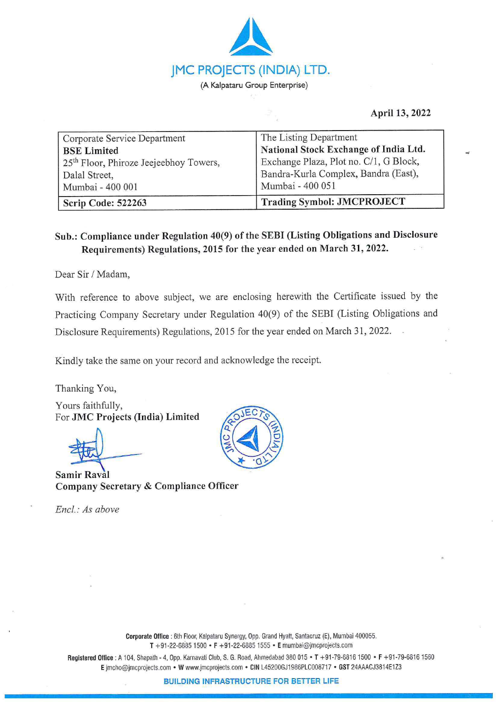

## **April 13, 2022**

...,

| Corporate Service Department                       | The Listing Department                 |
|----------------------------------------------------|----------------------------------------|
| <b>BSE</b> Limited                                 | National Stock Exchange of India Ltd.  |
| 25 <sup>th</sup> Floor, Phiroze Jeejeebhoy Towers, | Exchange Plaza, Plot no. C/1, G Block, |
| Dalal Street,                                      | Bandra-Kurla Complex, Bandra (East),   |
| Mumbai - 400 001                                   | Mumbai - 400 051                       |
| Scrip Code: 522263                                 | <b>Trading Symbol: JMCPROJECT</b>      |

## **Sub.: Compliance under Regulation 40(9) of the SEBI (Listing Obligations and Disclosure Requirements) Regulations, 2015 for the year ended on March 31, 2022.**

Dear Sir / Madam,

With reference to above subject, we are enclosing herewith the Certificate issued by the Practicing Company Secretary under Regulation 40(9) of the SEBI (Listing Obligations and Disclosure Requirements) Regulations, 2015 for the year ended on March 31, 2022.

Kindly take the same on your record and acknowledge the receipt.

Thanking You,

Yours faithfully, For **JMC Projects (India) Limited** 

**Samir Raval Company Secretary** & **Compliance Officer** 

*Encl.: As above* 



**Corporate Office :** 6th Floor, Kalpataru Synergy, Opp. Grand Hyatt, Santacruz (E), Mumbai 400055. **T** +91-22-68.851500 • **F** +91-22-68851555 • **E** mumbai@jmcprojects.com

**Registered Office :** A 104, Shapath - 4, Opp. Karnavati Club, S. G. Road, Ahmedabad 380 015 • **T** +91-79-68161500 • **F** +91-79-68161560 **E** jmcho@jmcprojects.com • **W** www.jmcprojects.com • **CIN** L45200GJ1986PLC008717 • **GST** 24AAACJ3814E1 Z3

**BUILDING INFRASTRUCTURE FOR BETTER LIFE**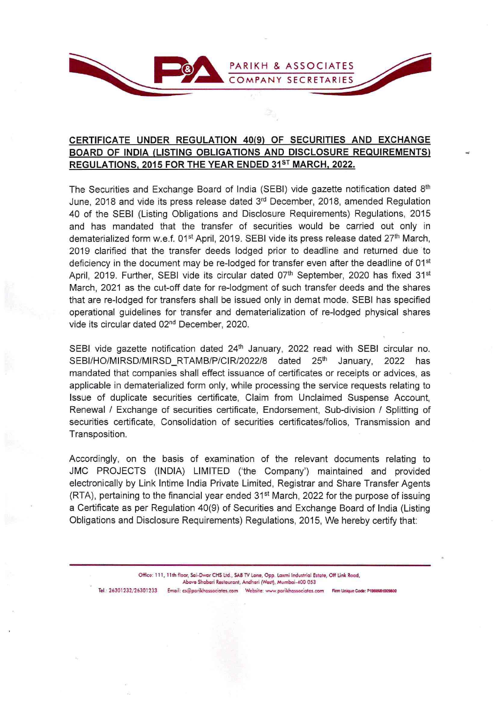

## **CERTIFICATE UNDER REGULATION 40(9) OF SECURITIES AND EXCHANGE BOARD OF INDIA (LISTING OBLIGATIONS AND DISCLOSURE REQUIREMENTS) REGULATIONS, 2015 FOR THE YEAR ENDED 31 5T MARCH, 2022.**

..

The Securities and Exchange Board of India (SEBI) vide gazette notification dated 8th June, 2018 and vide its press release dated 3rd December, 2018, amended Regulation 40 of the SEBI (Listing Obligations and Disclosure Requirements) Regulations, 2015 and has mandated that the transfer of securities would be carried out only in dematerialized form w.e.f. 01<sup>st</sup> April, 2019. SEBI vide its press release dated 27<sup>th</sup> March, 2019 clarified that the transfer deeds lodged prior to deadline and returned due to deficiency in the document may be re-lodged for transfer even after the deadline of 01<sup>st</sup> April, 2019. Further, SEBI vide its circular dated 07<sup>th</sup> September, 2020 has fixed 31<sup>st</sup> March, 2021 as the cut-off date for re-lodgment of such transfer deeds and the shares that are re-lodged for transfers shall be issued only in demat mode. SEBI has specified operational guidelines for transfer and dematerialization of re-lodged physical shares vide its circular dated 02nd December, 2020.

SEBI vide gazette notification dated  $24<sup>th</sup>$  January, 2022 read with SEBI circular no. SEBI/HO/MIRSD/MIRSD\_RTAMB/P/CIR/2022/8 dated 25<sup>th</sup> January, 2022 has mandated that companies shall effect issuance of certificates or receipts or advices, as applicable in dematerialized form only, while processing the service requests relating to Issue of duplicate securities certificate, Claim from Unclaimed Suspense Account, Renewal / Exchange of securities certificate, Endorsement, Sub-division / Splitting of securities certificate, Consolidation of securities certificates/folios, Transmission and Transposition.

Accordingly, on the basis of examination of the relevant documents relating to JMC PROJECTS (INDIA) LIMITED ('the Company') maintained and provided electronically by Link lntime India Private Limited, Registrar and Share Transfer Agents  $(RTA)$ , pertaining to the financial year ended 31<sup>st</sup> March, 2022 for the purpose of issuing a Certificate as per Regulation 40(9) of Securities and Exchange Board of India (Listing Obligations and Disclosure Requirements) Regulations, 2015, We hereby certify that:

Office: 111, 11th floor, Sai-Dwar CHS Ltd., SAB TV Lane, Opp. Laxmi Industrial Estate, Off Link Road, Above Shabari Restaurant, Andheri (West), Mumbai-400 053 Tel .: 26301232/26301233 Email: cs@parikhassociates.com Website: www.parikhassociates.com Firm Unique Code: P1988MH00